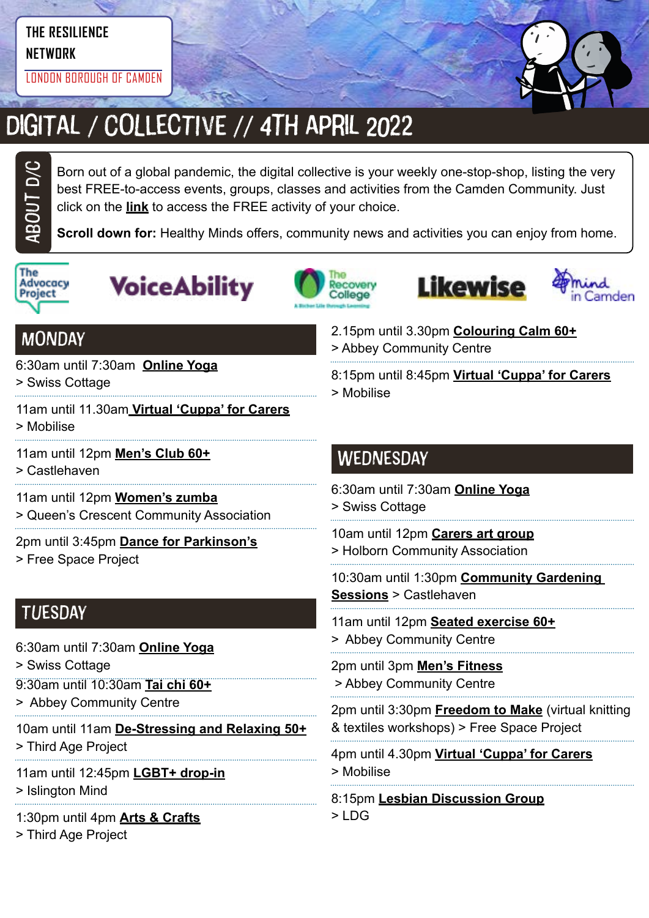### **THE RESILIENCE**

**NETWORK**

LONDON BOROUGH OF CAMDEN



# DIGITAL / COLLECTIVE // 4TH APRIL 2022

Born out of a global pandemic, the digital collective is your weekly one-stop-shop, listing the very best FREE-to-access events, groups, classes and activities from the Camden Community. Just click on the **link** to access the FREE activity of your choice.

**Scroll down for:** Healthy Minds offers, community news and activities you can enjoy from home.



ABOUt D/C









#### **MONDAY**

6:30am until 7:30am **[Online Yoga](https://yourswiss.org/)**

> Swiss Cottage

- 11am until 11.30am **[Virtual 'Cuppa' for Carers](https://www.mobiliseonline.co.uk/cuppa)**
- > Mobilise
- 11am until 12pm **[Men's Club 60+](https://www.castlehaven.org.uk/whats-on/event/2539/)**
- > Castlehaven

11am until 12pm **[Women's zumba](https://twitter.com/QCCA_ltd/status/1441030606608027653/photo/1)**

- > Queen's Crescent Community Association
- 2pm until 3:45pm **[Dance for Parkinson's](https://www.freespaceproject.org/blog/dance-for-parkinsons)**
- > Free Space Project

#### **TUESDAY**

- 6:30am until 7:30am **[Online Yoga](https://yourswiss.org/)**
- > Swiss Cottage
- 9:30am until 10:30am **[Tai chi 60+](https://abbeycc-kilburn.org.uk/wp-content/uploads/2020/03/January-2022-programme.pdf)**
- > Abbey Community Centre
- 10am until 11am **[De-Stressing and Relaxing 50+](https://mcusercontent.com/ea2facf10e2b0030d86ac8775/images/7b7e1a43-b1d4-46e2-9a1c-220235255224.jpg?fbclid=IwAR3OeQ_6KX5rCiRFaTvQ2osfj66ekG8CeO0OVWDTfpWugvLoPIhuUhJObyU)** > Third Age Project
- 11am until 12:45pm **[LGBT+ drop-in](https://www.islingtonmind.org.uk/our-services/mhrp/virtual-support-services/)**
- > Islington Mind
- 1:30pm until 4pm **[Arts & Crafts](https://twitter.com/ThirdAgeProject/status/1483392643849756675/photo/2)**
- > Third Age Project
- 2.15pm until 3.30pm **[Colouring Calm 60+](https://abbeycc-kilburn.org.uk/wp-content/uploads/2020/03/January-2022-programme.pdf)** > Abbey Community Centre
- 8:15pm until 8:45pm **[Virtual 'Cuppa' for Carers](https://www.mobiliseonline.co.uk/cuppa)** > Mobilise

#### **WEDNESDAY**

- 6:30am until 7:30am **[Online Yoga](https://yourswiss.org/)**
- > Swiss Cottage
- 10am until 12pm **[Carers art group](https://www.holborncommunity.co.uk/events/carers-art-group-2021-04-07/)** > Holborn Community Association
- 10:30am until 1:30pm **[Community Gardening](https://www.castlehaven.org.uk/whats-on/event/1459/)  [Sessions](https://www.castlehaven.org.uk/whats-on/event/1459/)** > Castlehaven
- 11am until 12pm **[Seated exercise 60+](https://abbeycc-kilburn.org.uk/wp-content/uploads/2020/03/January-2022-programme.pdf)**
- > Abbey Community Centre
- 2pm until 3pm **[Men's Fitness](mailto:https://abbeycc-kilburn.org.uk/wp-content/uploads/2020/03/January-2022-programme.pdf?subject=Men%27s%20fitness)** > Abbey Community Centre
- 2pm until 3:30pm **[Freedom to Make](https://www.freespaceproject.org/projects/freedomtomake)** (virtual knitting & textiles workshops) > Free Space Project
- 4pm until 4.30pm **[Virtual 'Cuppa' for Carers](https://www.mobiliseonline.co.uk/cuppa)** > Mobilise
- 8:15pm **[Lesbian Discussion Group](https://www.lesbiandiscussiongroup.com/)** > LDG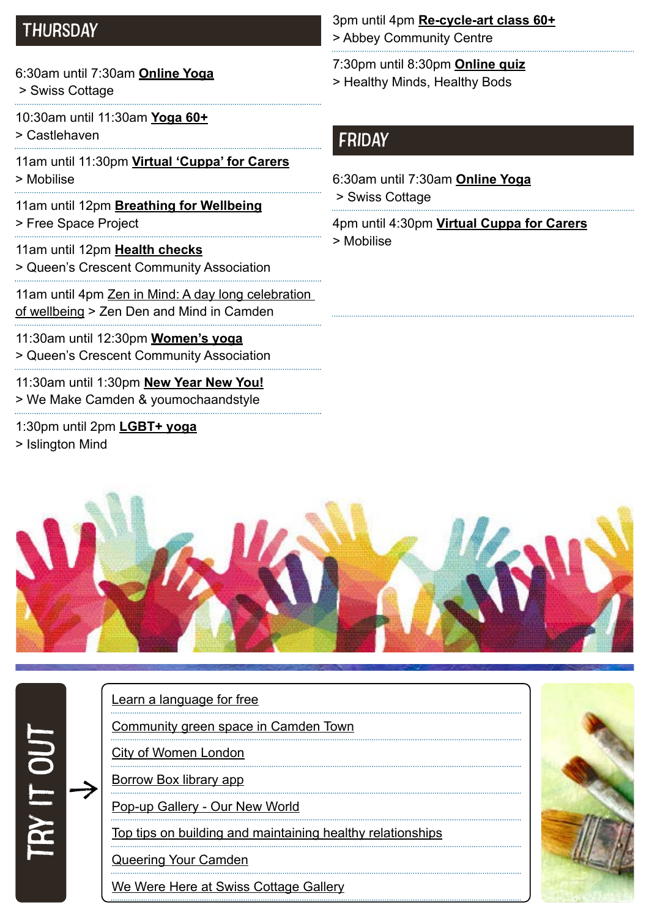#### THURSDAY

- 6:30am until 7:30am **[Online Yoga](https://yourswiss.org/)**
- > Swiss Cottage

10:30am until 11:30am **[Yoga 60+](https://www.castlehaven.org.uk/whats-on/event/2561/)**

> Castlehaven

11am until 11:30pm **[Virtual 'Cuppa' for Carers](https://www.mobiliseonline.co.uk/cuppa)** > Mobilise

11am until 12pm **[Breathing for Wellbeing](https://www.freespaceproject.org/blog/guidedmeditation-57c8e)** > Free Space Project

11am until 12pm **[Health checks](https://twitter.com/QCCA_ltd/status/1441030606608027653/photo/1)** > Queen's Crescent Community Association

11am until 4pm Zen in Mind: A day long celebration

[of wellbeing](https://www.t-z-p.com/where-to-find-us-next) > Zen Den and Mind in Camden

11:30am until 12:30pm **[Women's yoga](https://twitter.com/QCCA_ltd/status/1441030606608027653/photo/1)**

> Queen's Crescent Community Association

11:30am until 1:30pm **[New Year New You!](https://www.mentalhealthcamden.co.uk/events/22/02/new-year-new-you)**

> We Make Camden & youmochaandstyle

1:30pm until 2pm **[LGBT+ yoga](https://www.islingtonmind.org.uk/our-services/outcome/)**

> Islington Mind

TRY IT OUT

3pm until 4pm **[Re-cycle-art class](https://abbeycc-kilburn.org.uk/wp-content/uploads/2020/03/January-2022-programme.pdf) 60+** > Abbey Community Centre

7:30pm until 8:30pm **[Online quiz](https://www.mentalhealthcamden.co.uk/events/22/02/healthy-minds-healthy-bods-online-quiz)** > Healthy Minds, Healthy Bods

#### FRIDAY

6:30am until 7:30am **[Online Yoga](https://yourswiss.org/)**

> Swiss Cottage

4pm until 4:30pm **[Virtual Cuppa for Carers](https://www.mobiliseonline.co.uk/cuppa)**

> Mobilise



|  | Learn a language for free                                  |
|--|------------------------------------------------------------|
|  | Community green space in Camden Town                       |
|  | City of Women London                                       |
|  | <b>Borrow Box library app</b>                              |
|  | Pop-up Gallery - Our New World                             |
|  | Top tips on building and maintaining healthy relationships |
|  | <b>Queering Your Camden</b>                                |
|  | We Were Here at Swiss Cottage Gallery                      |
|  |                                                            |